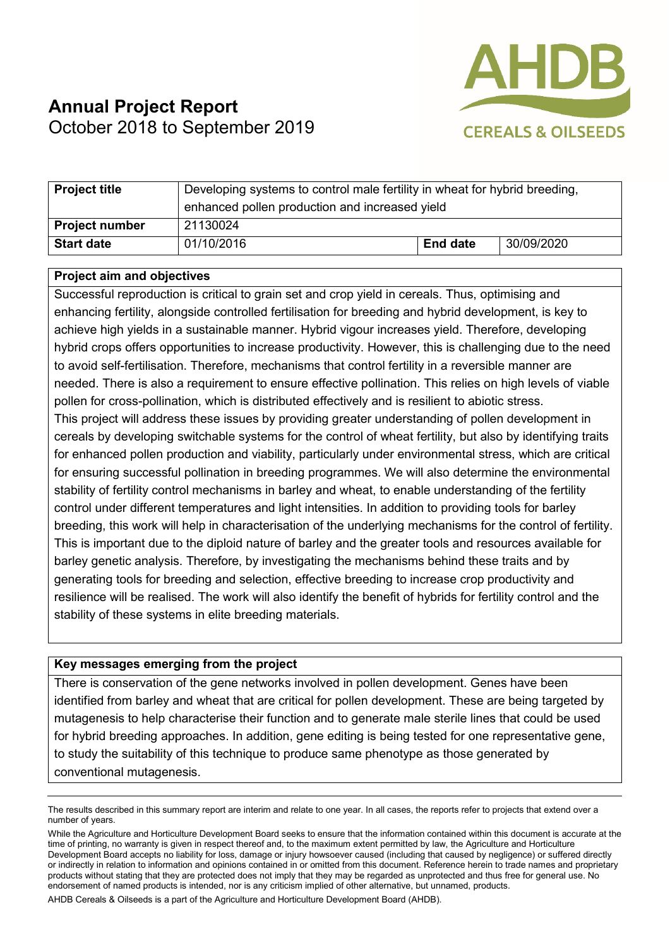

# **Annual Project Report**  October 2018 to September 2019

| <b>Project title</b>  | Developing systems to control male fertility in wheat for hybrid breeding,<br>enhanced pollen production and increased yield |                 |            |
|-----------------------|------------------------------------------------------------------------------------------------------------------------------|-----------------|------------|
| <b>Project number</b> | 21130024                                                                                                                     |                 |            |
| <b>Start date</b>     | 01/10/2016                                                                                                                   | <b>End date</b> | 30/09/2020 |

#### **Project aim and objectives**

Successful reproduction is critical to grain set and crop yield in cereals. Thus, optimising and enhancing fertility, alongside controlled fertilisation for breeding and hybrid development, is key to achieve high yields in a sustainable manner. Hybrid vigour increases yield. Therefore, developing hybrid crops offers opportunities to increase productivity. However, this is challenging due to the need to avoid self-fertilisation. Therefore, mechanisms that control fertility in a reversible manner are needed. There is also a requirement to ensure effective pollination. This relies on high levels of viable pollen for cross-pollination, which is distributed effectively and is resilient to abiotic stress. This project will address these issues by providing greater understanding of pollen development in cereals by developing switchable systems for the control of wheat fertility, but also by identifying traits for enhanced pollen production and viability, particularly under environmental stress, which are critical for ensuring successful pollination in breeding programmes. We will also determine the environmental stability of fertility control mechanisms in barley and wheat, to enable understanding of the fertility control under different temperatures and light intensities. In addition to providing tools for barley breeding, this work will help in characterisation of the underlying mechanisms for the control of fertility. This is important due to the diploid nature of barley and the greater tools and resources available for barley genetic analysis. Therefore, by investigating the mechanisms behind these traits and by generating tools for breeding and selection, effective breeding to increase crop productivity and resilience will be realised. The work will also identify the benefit of hybrids for fertility control and the stability of these systems in elite breeding materials.

#### **Key messages emerging from the project**

There is conservation of the gene networks involved in pollen development. Genes have been identified from barley and wheat that are critical for pollen development. These are being targeted by mutagenesis to help characterise their function and to generate male sterile lines that could be used for hybrid breeding approaches. In addition, gene editing is being tested for one representative gene, to study the suitability of this technique to produce same phenotype as those generated by conventional mutagenesis.

AHDB Cereals & Oilseeds is a part of the Agriculture and Horticulture Development Board (AHDB).

The results described in this summary report are interim and relate to one year. In all cases, the reports refer to projects that extend over a number of years.

While the Agriculture and Horticulture Development Board seeks to ensure that the information contained within this document is accurate at the time of printing, no warranty is given in respect thereof and, to the maximum extent permitted by law, the Agriculture and Horticulture Development Board accepts no liability for loss, damage or injury howsoever caused (including that caused by negligence) or suffered directly or indirectly in relation to information and opinions contained in or omitted from this document. Reference herein to trade names and proprietary products without stating that they are protected does not imply that they may be regarded as unprotected and thus free for general use. No endorsement of named products is intended, nor is any criticism implied of other alternative, but unnamed, products.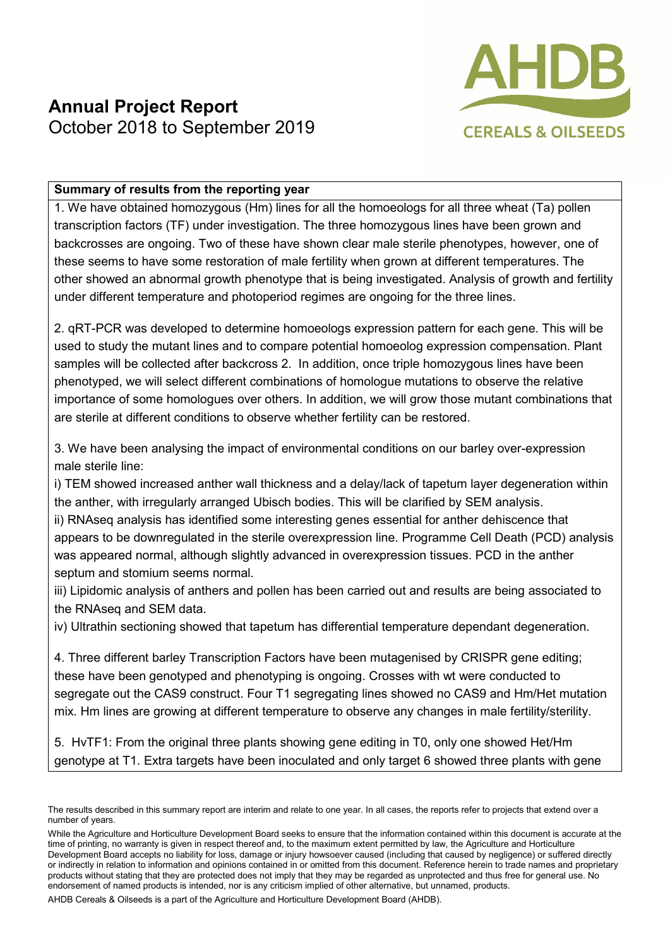

### **Summary of results from the reporting year**

1. We have obtained homozygous (Hm) lines for all the homoeologs for all three wheat (Ta) pollen transcription factors (TF) under investigation. The three homozygous lines have been grown and backcrosses are ongoing. Two of these have shown clear male sterile phenotypes, however, one of these seems to have some restoration of male fertility when grown at different temperatures. The other showed an abnormal growth phenotype that is being investigated. Analysis of growth and fertility under different temperature and photoperiod regimes are ongoing for the three lines.

2. qRT-PCR was developed to determine homoeologs expression pattern for each gene. This will be used to study the mutant lines and to compare potential homoeolog expression compensation. Plant samples will be collected after backcross 2. In addition, once triple homozygous lines have been phenotyped, we will select different combinations of homologue mutations to observe the relative importance of some homologues over others. In addition, we will grow those mutant combinations that are sterile at different conditions to observe whether fertility can be restored.

3. We have been analysing the impact of environmental conditions on our barley over-expression male sterile line:

i) TEM showed increased anther wall thickness and a delay/lack of tapetum layer degeneration within the anther, with irregularly arranged Ubisch bodies. This will be clarified by SEM analysis.

ii) RNAseq analysis has identified some interesting genes essential for anther dehiscence that appears to be downregulated in the sterile overexpression line. Programme Cell Death (PCD) analysis was appeared normal, although slightly advanced in overexpression tissues. PCD in the anther septum and stomium seems normal.

iii) Lipidomic analysis of anthers and pollen has been carried out and results are being associated to the RNAseq and SEM data.

iv) Ultrathin sectioning showed that tapetum has differential temperature dependant degeneration.

4. Three different barley Transcription Factors have been mutagenised by CRISPR gene editing; these have been genotyped and phenotyping is ongoing. Crosses with wt were conducted to segregate out the CAS9 construct. Four T1 segregating lines showed no CAS9 and Hm/Het mutation mix. Hm lines are growing at different temperature to observe any changes in male fertility/sterility.

5. HvTF1: From the original three plants showing gene editing in T0, only one showed Het/Hm genotype at T1. Extra targets have been inoculated and only target 6 showed three plants with gene

AHDB Cereals & Oilseeds is a part of the Agriculture and Horticulture Development Board (AHDB).

The results described in this summary report are interim and relate to one year. In all cases, the reports refer to projects that extend over a number of years.

While the Agriculture and Horticulture Development Board seeks to ensure that the information contained within this document is accurate at the time of printing, no warranty is given in respect thereof and, to the maximum extent permitted by law, the Agriculture and Horticulture Development Board accepts no liability for loss, damage or injury howsoever caused (including that caused by negligence) or suffered directly or indirectly in relation to information and opinions contained in or omitted from this document. Reference herein to trade names and proprietary products without stating that they are protected does not imply that they may be regarded as unprotected and thus free for general use. No endorsement of named products is intended, nor is any criticism implied of other alternative, but unnamed, products.